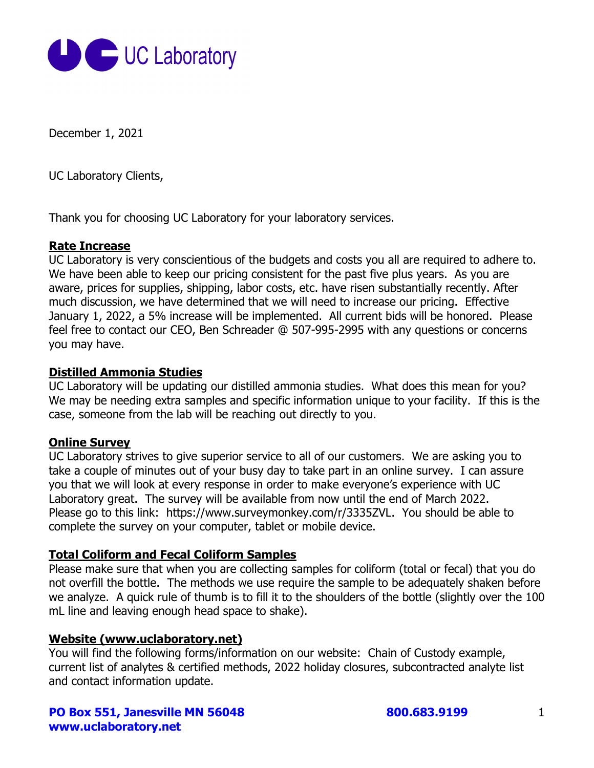

December 1, 2021

UC Laboratory Clients,

Thank you for choosing UC Laboratory for your laboratory services.

### **Rate Increase**

UC Laboratory is very conscientious of the budgets and costs you all are required to adhere to. We have been able to keep our pricing consistent for the past five plus years. As you are aware, prices for supplies, shipping, labor costs, etc. have risen substantially recently. After much discussion, we have determined that we will need to increase our pricing. Effective January 1, 2022, a 5% increase will be implemented. All current bids will be honored. Please feel free to contact our CEO, Ben Schreader @ 507-995-2995 with any questions or concerns you may have.

### **Distilled Ammonia Studies**

UC Laboratory will be updating our distilled ammonia studies. What does this mean for you? We may be needing extra samples and specific information unique to your facility. If this is the case, someone from the lab will be reaching out directly to you.

### **Online Survey**

UC Laboratory strives to give superior service to all of our customers. We are asking you to take a couple of minutes out of your busy day to take part in an online survey. I can assure you that we will look at every response in order to make everyone's experience with UC Laboratory great. The survey will be available from now until the end of March 2022. Please go to this link: https://www.surveymonkey.com/r/3335ZVL. You should be able to complete the survey on your computer, tablet or mobile device.

### **Total Coliform and Fecal Coliform Samples**

Please make sure that when you are collecting samples for coliform (total or fecal) that you do not overfill the bottle. The methods we use require the sample to be adequately shaken before we analyze. A quick rule of thumb is to fill it to the shoulders of the bottle (slightly over the 100 mL line and leaving enough head space to shake).

# **Website (www.uclaboratory.net)**

You will find the following forms/information on our website: Chain of Custody example, current list of analytes & certified methods, 2022 holiday closures, subcontracted analyte list and contact information update.